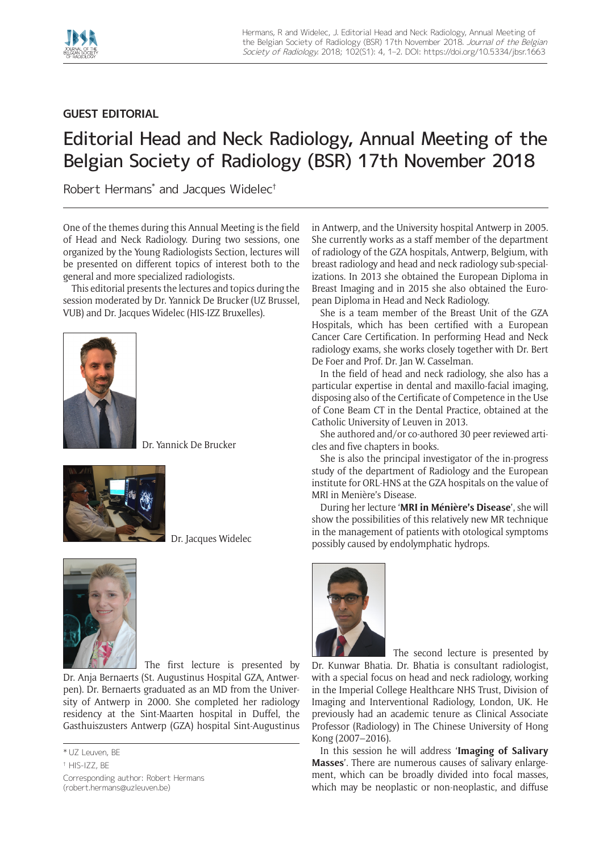

## **GUEST EDITORIAL**

## Editorial Head and Neck Radiology, Annual Meeting of the Belgian Society of Radiology (BSR) 17th November 2018

Robert Hermans\* and Jacques Widelec†

One of the themes during this Annual Meeting is the field of Head and Neck Radiology. During two sessions, one organized by the Young Radiologists Section, lectures will be presented on different topics of interest both to the general and more specialized radiologists.

This editorial presents the lectures and topics during the session moderated by Dr. Yannick De Brucker (UZ Brussel, VUB) and Dr. Jacques Widelec (HIS-IZZ Bruxelles).



Dr. Yannick De Brucker



Dr. Jacques Widelec



The first lecture is presented by Dr. Anja Bernaerts (St. Augustinus Hospital GZA, Antwerpen). Dr. Bernaerts graduated as an MD from the University of Antwerp in 2000. She completed her radiology residency at the Sint-Maarten hospital in Duffel, the Gasthuiszusters Antwerp (GZA) hospital Sint-Augustinus

Corresponding author: Robert Hermans [\(robert.hermans@uzleuven.be](mailto:robert.hermans@uzleuven.be))

in Antwerp, and the University hospital Antwerp in 2005. She currently works as a staff member of the department of radiology of the GZA hospitals, Antwerp, Belgium, with breast radiology and head and neck radiology sub-specializations. In 2013 she obtained the European Diploma in Breast Imaging and in 2015 she also obtained the European Diploma in Head and Neck Radiology.

She is a team member of the Breast Unit of the GZA Hospitals, which has been certified with a European Cancer Care Certification. In performing Head and Neck radiology exams, she works closely together with Dr. Bert De Foer and Prof. Dr. Jan W. Casselman.

In the field of head and neck radiology, she also has a particular expertise in dental and maxillo-facial imaging, disposing also of the Certificate of Competence in the Use of Cone Beam CT in the Dental Practice, obtained at the Catholic University of Leuven in 2013.

She authored and/or co-authored 30 peer reviewed articles and five chapters in books.

She is also the principal investigator of the in-progress study of the department of Radiology and the European institute for ORL-HNS at the GZA hospitals on the value of MRI in Menière's Disease.

During her lecture '**MRI in Ménière's Disease**', she will show the possibilities of this relatively new MR technique in the management of patients with otological symptoms possibly caused by endolymphatic hydrops.



The second lecture is presented by

Dr. Kunwar Bhatia. Dr. Bhatia is consultant radiologist, with a special focus on head and neck radiology, working in the Imperial College Healthcare NHS Trust, Division of Imaging and Interventional Radiology, London, UK. He previously had an academic tenure as Clinical Associate Professor (Radiology) in The Chinese University of Hong Kong (2007–2016).

In this session he will address '**Imaging of Salivary Masses**'. There are numerous causes of salivary enlargement, which can be broadly divided into focal masses, which may be neoplastic or non-neoplastic, and diffuse

<sup>\*</sup> UZ Leuven, BE

<sup>†</sup> HIS-IZZ, BE